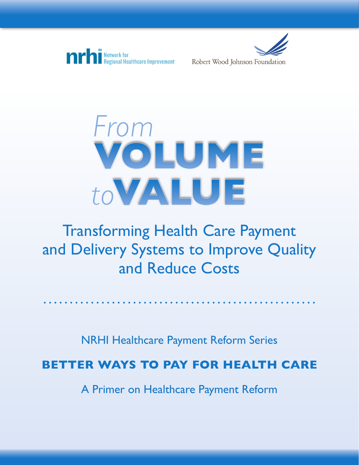





# Transforming Health Care Payment and Delivery Systems to Improve Quality and Reduce Costs

NRHI Healthcare Payment Reform Series

**BETTER WAYS TO PAY FOR HEALTH CARE**

A Primer on Healthcare Payment Reform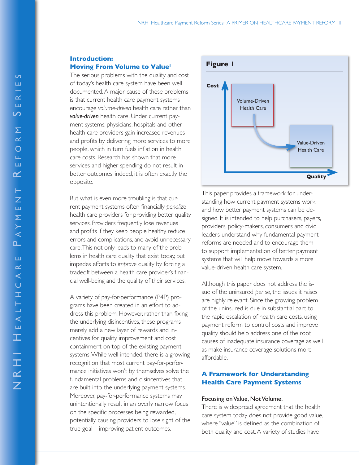# **Introduction: Moving From Volume to Value'**

The serious problems with the quality and cost of today's health care system have been well documented. A major cause of these problems is that current health care payment systems encourage *volume-driven* health care rather than *value-driven* health care. Under current payment systems, physicians, hospitals and other health care providers gain increased revenues and profits by delivering more services to more people, which in turn fuels inflation in health care costs. Research has shown that more services and higher spending do not result in better outcomes; indeed, it is often exactly the opposite.

But what is even more troubling is that current payment systems often financially *penalize* health care providers for providing better quality services. Providers frequently lose revenues and profits if they keep people healthy, reduce errors and complications, and avoid unnecessary care. This not only leads to many of the problems in health care quality that exist today, but impedes efforts to *improve* quality by forcing a tradeoff between a health care provider's financial well-being and the quality of their services.

A variety of pay-for-performance (P4P) programs have been created in an effort to address this problem. However, rather than fixing the underlying disincentives, these programs merely add a new layer of rewards and incentives for quality improvement and cost containment on top of the existing payment systems. While well intended, there is a growing recognition that most current pay-for-performance initiatives won't by themselves solve the fundamental problems and disincentives that are built into the underlying payment systems. Moreover, pay-for-performance systems may unintentionally result in an overly narrow focus on the specific processes being rewarded, potentially causing providers to lose sight of the true goal—improving patient outcomes.



This paper provides a framework for understanding how current payment systems work and how better payment systems can be designed. It is intended to help purchasers, payers, providers, policy-makers, consumers and civic leaders understand why fundamental payment reforms are needed and to encourage them to support implementation of better payment systems that will help move towards a more value-driven health care system.

Although this paper does not address the issue of the uninsured *per se*, the issues it raises are highly relevant. Since the growing problem of the uninsured is due in substantial part to the rapid escalation of health care costs, using payment reform to control costs and improve quality should help address one of the root causes of inadequate insurance coverage as well as make insurance coverage solutions more affordable.

# **A Framework for Understanding Health Care Payment Systems**

# Focusing on Value, Not Volume.

There is widespread agreement that the health care system today does not provide good value, where "value" is defined as the combination of both quality and cost. A variety of studies have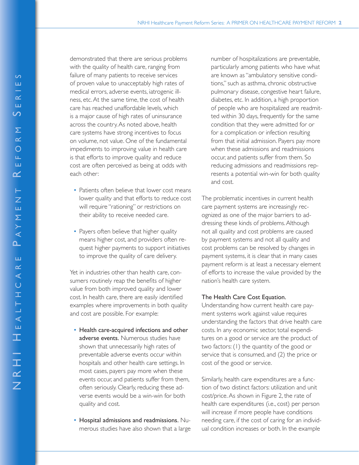demonstrated that there are serious problems with the quality of health care, ranging from failure of many patients to receive services of proven value to unacceptably high rates of medical errors, adverse events, iatrogenic illness, etc. At the same time, the cost of health care has reached unaffordable levels, which is a major cause of high rates of uninsurance across the country. As noted above, health care systems have strong incentives to focus on volume, not value. One of the fundamental impediments to improving value in health care is that efforts to improve quality and reduce cost are often perceived as being at odds with each other:

- Patients often believe that lower cost means lower quality and that efforts to reduce cost will require "rationing" or restrictions on their ability to receive needed care.
- Payers often believe that higher quality means higher cost, and providers often request higher payments to support initiatives to improve the quality of care delivery.

Yet in industries other than health care, consumers routinely reap the benefits of higher value from both improved quality and lower cost. In health care, there are easily identified examples where improvements in both quality and cost are possible. For example:

- Health care-acquired infections and other adverse events. Numerous studies have shown that unnecessarily high rates of preventable adverse events occur within hospitals and other health care settings. In most cases, payers pay more when these events occur, and patients suffer from them, often seriously. Clearly, reducing these adverse events would be a win-win for both quality and cost.
- Hospital admissions and readmissions. Numerous studies have also shown that a large

number of hospitalizations are preventable, particularly among patients who have what are known as "ambulatory sensitive conditions," such as asthma, chronic obstructive pulmonary disease, congestive heart failure, diabetes, etc. In addition, a high proportion of people who are hospitalized are readmitted within 30 days, frequently for the same condition that they were admitted for or for a complication or infection resulting from that initial admission. Payers pay more when these admissions and readmissions occur, and patients suffer from them. So reducing admissions and readmissions represents a potential win-win for both quality and cost.

The problematic incentives in current health care payment systems are increasingly recognized as one of the major barriers to addressing these kinds of problems. Although not all quality and cost problems are caused by payment systems and not all quality and cost problems can be resolved by changes in payment systems, it is clear that in many cases payment reform is at least a necessary element of efforts to increase the value provided by the nation's health care system.

## The Health Care Cost Equation.

Understanding how current health care payment systems work against value requires understanding the factors that drive health care costs. In any economic sector, total expenditures on a good or service are the product of two factors: (1) the quantity of the good or service that is consumed, and (2) the price or cost of the good or service.

Similarly, health care expenditures are a function of two distinct factors: utilization and unit cost/price. As shown in Figure 2, the rate of health care expenditures (i.e., cost) per person will increase if more people have conditions needing care, if the cost of caring for an individual condition increases or both. In the example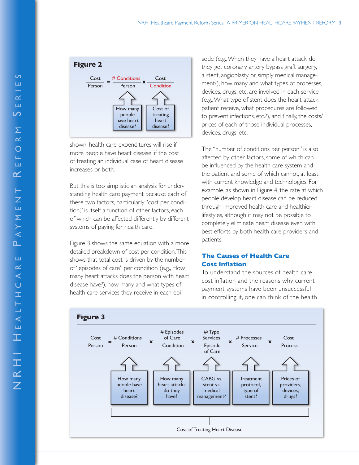

shown, health care expenditures will rise if more people have heart disease, if the cost of treating an individual case of heart disease increases or both.

But this is too simplistic an analysis for understanding health care payment because each of these two factors, particularly "cost per condition," is itself a function of other factors, each of which can be affected differently by different systems of paying for health care.

Figure 3 shows the same equation with a more detailed breakdown of cost per condition. This shows that total cost is driven by the number of "episodes of care" per condition (e.g., How many heart attacks does the person with heart disease have?), how many and what types of health care services they receive in each epi-

sode (e.g., When they have a heart attack, do they get coronary artery bypass graft surgery, a stent, angioplasty or simply medical management?), how many and what types of processes, devices, drugs, etc. are involved in each service (e.g., What type of stent does the heart attack patient receive, what procedures are followed to prevent infections, etc.?), and finally, the costs/ prices of each of those individual processes, devices, drugs, etc.

The "number of conditions per person" is also affected by other factors, some of which can be influenced by the health care system and the patient and some of which cannot, at least with current knowledge and technologies. For example, as shown in Figure 4, the rate at which people develop heart disease can be reduced through improved health care and healthier lifestyles, although it may not be possible to completely eliminate heart disease even with best efforts by both health care providers and patients.

# **The Causes of Health Care Cost Inflation**

To understand the sources of health care cost inflation and the reasons why current payment systems have been unsuccessful in controlling it, one can think of the health

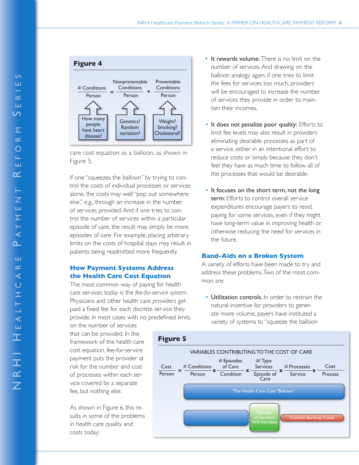![](_page_4_Figure_1.jpeg)

care cost equation as a balloon, as shown in Figure 5.

If one "squeezes the balloon" by trying to control the costs of individual processes or services alone, the costs may well "pop out somewhere else," e.g., through an increase in the number of services provided. And if one tries to control the number of services within a particular episode of care, the result may simply be more episodes of care. For example, placing arbitrary limits on the costs of hospital stays may result in patients being readmitted more frequently.

# **How Payment Systems Address the Health Care Cost Equation**

The most common way of paying for health care services today is the *fee-for-service system*. Physicians and other health care providers get paid a fixed fee for each discrete service they provide, in most cases with no predefined limits

on the number of services that can be provided. In the framework of the health care cost equation, fee-for-service payment puts the provider at risk for the number and cost of processes within each service covered by a separate fee, but nothing else.

As shown in Figure 6, this results in some of the problems in health care quality and costs today:

- It rewards volume: There is no limit on the number of services. And drawing on the balloon analogy again, if one tries to limit the fees for services too much, providers will be encouraged to increase the number of services they provide in order to maintain their incomes.
- It does not penalize poor quality: Efforts to limit fee levels may also result in providers eliminating desirable processes as part of a service, either in an intentional effort to reduce costs or simply because they don't feel they have as much time to follow all of the processes that would be desirable.
- It focuses on the short term, not the long term: Efforts to control overall service expenditures encourage payers to resist paying for some services, even if they might have long-term value in improving health or otherwise reducing the need for services in the future.

### **Band-Aids on a Broken System**

A variety of efforts have been made to try and address these problems. Two of the most common are:

• Utilization controls. In order to restrain the natural incentive for providers to generate more volume, payers have instituted a variety of systems to "squeeze the balloon

![](_page_4_Figure_14.jpeg)

# $\boldsymbol{\varsigma}$ e $\propto$ em S  $\propto$  $\overline{O}$ t R e f o ш ш  $\overline{\mathbf{C}}$ ⊢  $\overline{z}$ ш e P a y m e  $\Sigma$  $\leftarrow$ ∢ ௨ ш  $\propto$ <<br>コ<br>エ ALT N R H I H e a l t ш Ŧ H K H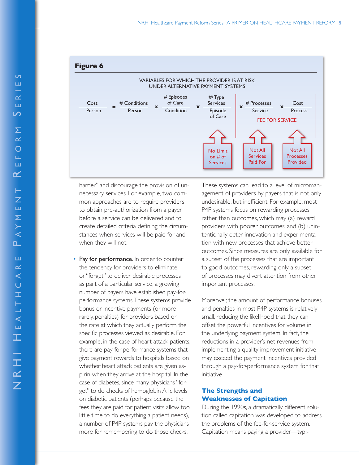![](_page_5_Figure_1.jpeg)

harder" and discourage the provision of unnecessary services. For example, two common approaches are to require providers to obtain pre-authorization from a payer before a service can be delivered and to create detailed criteria defining the circumstances when services will be paid for and when they will not.

• Pay for performance. In order to counter the tendency for providers to eliminate or "forget" to deliver desirable processes as part of a particular service, a growing number of payers have established pay-forperformance systems. These systems provide bonus or incentive payments (or more rarely, penalties) for providers based on the rate at which they actually perform the specific processes viewed as desirable. For example, in the case of heart attack patients, there are pay-for-performance systems that give payment rewards to hospitals based on whether heart attack patients are given aspirin when they arrive at the hospital. In the case of diabetes, since many physicians "forget" to do checks of hemoglobin A1c levels on diabetic patients (perhaps because the fees they are paid for patient visits allow too little time to do everything a patient needs), a number of P4P systems pay the physicians more for remembering to do those checks.

These systems can lead to a level of micromanagement of providers by payers that is not only undesirable, but inefficient. For example, most P4P systems focus on rewarding processes rather than outcomes, which may (a) reward providers with poorer outcomes, and (b) unintentionally deter innovation and experimentation with new processes that achieve better outcomes. Since measures are only available for a subset of the processes that are important to good outcomes, rewarding only a subset of processes may divert attention from other important processes.

Moreover, the amount of performance bonuses and penalties in most P4P systems is relatively small, reducing the likelihood that they can offset the powerful incentives for volume in the underlying payment system. In fact, the reductions in a provider's net revenues from implementing a quality improvement initiative may exceed the payment incentives provided through a pay-for-performance system for that initiative.

# **The Strengths and Weaknesses of Capitation**

During the 1990s, a dramatically different solution called capitation was developed to address the problems of the fee-for-service system. Capitation means paying a provider—typi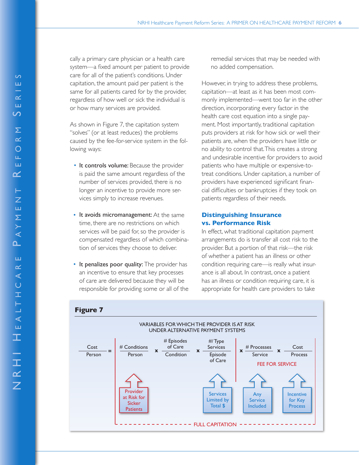cally a primary care physician or a health care system—a fixed amount per patient to provide care for all of the patient's conditions. Under capitation, the amount paid per patient is the same for all patients cared for by the provider, regardless of how well or sick the individual is or how many services are provided.

As shown in Figure 7, the capitation system "solves" (or at least reduces) the problems caused by the fee-for-service system in the following ways:

- It controls volume: Because the provider is paid the same amount regardless of the number of services provided, there is no longer an incentive to provide more services simply to increase revenues.
- It avoids micromanagement: At the same time, there are no restrictions on which services will be paid for, so the provider is compensated regardless of which combination of services they choose to deliver.
- It penalizes poor quality: The provider has an incentive to ensure that key processes of care are delivered because they will be responsible for providing some or all of the

remedial services that may be needed with no added compensation.

However, in trying to address these problems, capitation—at least as it has been most commonly implemented—went too far in the other direction, incorporating every factor in the health care cost equation into a single payment. Most importantly, traditional capitation puts providers at risk for how sick or well their patients are, when the providers have little or no ability to control that. This creates a strong and undesirable incentive for providers to avoid patients who have multiple or expensive-totreat conditions. Under capitation, a number of providers have experienced significant financial difficulties or bankruptcies if they took on patients regardless of their needs.

# **Distinguishing Insurance vs. Performance Risk**

In effect, what traditional capitation payment arrangements do is transfer all cost risk to the provider. But a portion of that risk—the risk of whether a patient has an illness or other condition requiring care—is really what insurance is all about. In contrast, once a patient has an illness or condition requiring care, it is appropriate for health care providers to take

![](_page_6_Figure_10.jpeg)

# **Figure 7**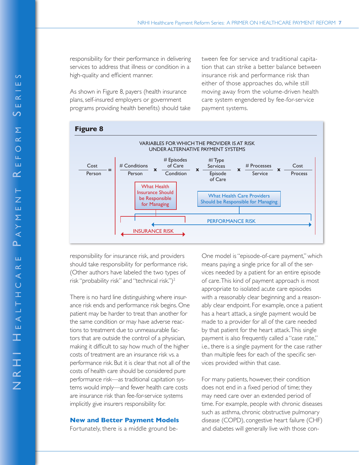responsibility for their performance in delivering services to address that illness or condition in a high-quality and efficient manner.

As shown in Figure 8, payers (health insurance plans, self-insured employers or government programs providing health benefits) should take tween fee for service and traditional capitation that can strike a better balance between insurance risk and performance risk than either of those approaches do, while still moving away from the volume-driven health care system engendered by fee-for-service payment systems.

![](_page_7_Figure_4.jpeg)

responsibility for insurance risk, and providers should take responsibility for performance risk. (Other authors have labeled the two types of risk "probability risk" and "technical risk.")<sup>2</sup>

There is no hard line distinguishing where insurance risk ends and performance risk begins. One patient may be harder to treat than another for the same condition or may have adverse reactions to treatment due to unmeasurable factors that are outside the control of a physician, making it difficult to say how much of the higher costs of treatment are an insurance risk vs. a performance risk. But it is clear that not all of the costs of health care should be considered pure performance risk—as traditional capitation systems would imply—and fewer health care costs are insurance risk than fee-for-service systems implicitly give insurers responsibility for.

#### **New and Better Payment Models**

Fortunately, there is a middle ground be-

One model is "episode-of-care payment," which means paying a single price for all of the services needed by a patient for an entire episode of care. This kind of payment approach is most appropriate to isolated acute care episodes with a reasonably clear beginning and a reasonably clear endpoint. For example, once a patient has a heart attack, a single payment would be made to a provider for all of the care needed by that patient for the heart attack. This single payment is also frequently called a "case rate," i.e., there is a single payment for the case rather than multiple fees for each of the specific services provided within that case.

For many patients, however, their condition does not end in a fixed period of time; they may need care over an extended period of time. For example, people with chronic diseases such as asthma, chronic obstructive pulmonary disease (COPD), congestive heart failure (CHF) and diabetes will generally live with those con-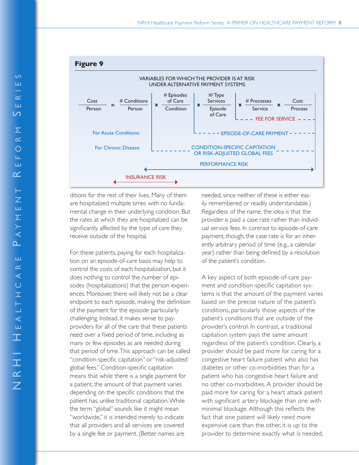![](_page_8_Figure_1.jpeg)

ditions for the rest of their lives. Many of them are hospitalized multiple times with no fundamental change in their underlying condition. But the rates at which they are hospitalized can be significantly affected by the type of care they receive outside of the hospital.

For these patients, paying for each hospitalization on an episode-of-care basis may help to control the costs of each hospitalization, but it does nothing to control the number of episodes (hospitalizations) that the person experiences. Moreover, there will likely not be a clear endpoint to each episode, making the definition of the payment for the episode particularly challenging. Instead, it makes sense to pay providers for all of the care that these patients need over a fixed period of time, including as many or few episodes as are needed during that period of time. This approach can be called "condition-specific capitation" or "risk-adjusted global fees." Condition-specific capitation means that while there is a single payment for a patient, the amount of that payment varies depending on the specific conditions that the patient has, unlike traditional capitation. While the term "global" sounds like it might mean "worldwide," it is intended merely to indicate that all providers and all services are covered by a single fee or payment. (Better names are

needed, since neither of these is either easily remembered or readily understandable.) Regardless of the name, the idea is that the provider is paid a case rate rather than individual service fees. In contrast to episode-of-care payment, though, the case rate is for an inherently arbitrary period of time (e.g., a calendar year) rather than being defined by a resolution of the patient's condition.

A key aspect of both episode-of-care payment and condition-specific capitation systems is that the amount of the payment varies based on the precise nature of the patient's conditions, particularly those aspects of the patient's conditions that are outside of the provider's control. In contrast, a traditional capitation system pays the same amount regardless of the patient's condition. Clearly, a provider should be paid more for caring for a congestive heart failure patient who also has diabetes or other co-morbidities than for a patient who has congestive heart failure and no other co-morbidities. A provider should be paid more for caring for a heart attack patient with significant artery blockage than one with minimal blockage. Although this reflects the fact that one patient will likely need more expensive care than the other, it is up to the provider to determine exactly what is needed,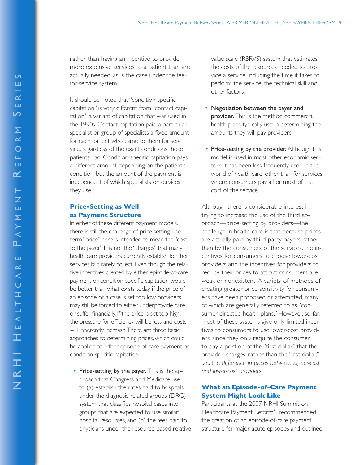rather than having an incentive to provide more expensive services to a patient than are actually needed, as is the case under the feefor-service system.

It should be noted that "condition-specific capitation" is very different from "contact capitation," a variant of capitation that was used in the 1990s. Contact capitation paid a particular specialist or group of specialists a fixed amount for each patient who came to them for service, regardless of the exact conditions those patients had. Condition-specific capitation pays a different amount depending on the patient's condition, but the amount of the payment is independent of which specialists or services they use.

# **Price-Setting as Well as Payment Structure**

In either of these different payment models, there is still the challenge of price setting. The term "price" here is intended to mean the "cost to the payer." It is not the "charges" that many health care providers currently establish for their services but rarely collect. Even though the relative incentives created by either episode-of-care payment or condition-specific capitation would be better than what exists today, if the price of an episode or a case is set too low, providers may still be forced to either underprovide care or suffer financially. If the price is set too high, the pressure for efficiency will be less and costs will inherently increase. There are three basic approaches to determining prices, which could be applied to either episode-of-care payment or condition-specific capitation:

• Price-setting by the payer. This is the approach that Congress and Medicare use to (a) establish the rates paid to hospitals under the diagnosis-related groups (DRG) system that classifies hospital cases into groups that are expected to use similar hospital resources, and (b) the fees paid to physicians under the resource-based relative value scale (RBRVS) system that estimates the costs of the resources needed to provide a service, including the time it takes to perform the service, the technical skill and other factors.

- Negotiation between the payer and provider. This is the method commercial health plans typically use in determining the amounts they will pay providers.
- Price-setting by the provider. Although this model is used in most other economic sectors, it has been less frequently used in the world of health care, other than for services where consumers pay all or most of the cost of the service.

Although there is considerable interest in trying to increase the use of the third approach—price-setting by providers—the challenge in health care is that because prices are actually paid by third-party payers rather than by the consumers of the services, the incentives for consumers to choose lower-cost providers and the incentives for providers to reduce their prices to attract consumers are weak or nonexistent. A variety of methods of creating greater price sensitivity for consumers have been proposed or attempted, many of which are generally referred to as "consumer-directed health plans." However, so far, most of these systems give only limited incentives to consumers to use lower-cost providers, since they only require the consumer to pay a portion of the "first dollar" that the provider charges, rather than the "last dollar," i.e., the *difference in prices between higher-cost and lower-cost providers*.

# **What an Episode-of-Care Payment System Might Look Like**

Participants at the 2007 NRHI Summit on Healthcare Payment Reform<sup>3</sup> recommended the creation of an episode-of-care payment structure for major acute episodes and outlined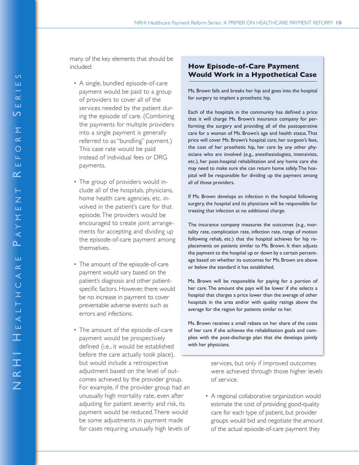many of the key elements that should be included:

- A single, bundled episode-of-care payment would be paid to a group of providers to cover all of the services needed by the patient during the episode of care. (Combining the payments for multiple providers into a single payment is generally referred to as "bundling" payment.) This case rate would be paid instead of individual fees or DRG payments.
- The group of providers would include all of the hospitals, physicians, home health care agencies, etc. involved in the patient's care for that episode. The providers would be encouraged to create joint arrangements for accepting and dividing up the episode-of-care payment among themselves.
- The amount of the episode-of-care payment would vary based on the patient's diagnosis and other patientspecific factors. However, there would be no increase in payment to cover preventable adverse events such as errors and infections.
- The amount of the episode-of-care payment would be prospectively defined (i.e., it would be established before the care actually took place), but would include a retrospective adjustment based on the level of outcomes achieved by the provider group. For example, if the provider group had an unusually high mortality rate, even after adjusting for patient severity and risk, its payment would be reduced. There would be some adjustments in payment made for cases requiring unusually high levels of

# **How Episode-of-Care Payment Would Work in a Hypothetical Case**

Ms. Brown falls and breaks her hip and goes into the hospital for surgery to implant a prosthetic hip.

Each of the hospitals in the community has defined a price that it will charge Ms. Brown's insurance company for performing the surgery and providing all of the postoperative care for a woman of Ms. Brown's age and health status. That price will cover Ms. Brown's hospital care, her surgeon's fees, the cost of her prosthetic hip, her care by any other physicians who are involved (e.g., anesthesiologists, intensivists, etc.), her post-hospital rehabilitation and any home care she may need to make sure she can return home safely. The hospital will be responsible for dividing up the payment among all of those providers.

If Ms. Brown develops an infection in the hospital following surgery, the hospital and its physicians will be responsible for treating that infection at no additional charge.

The insurance company measures the outcomes (e.g., mortality rate, complication rate, infection rate, range of motion following rehab, etc.) that the hospital achieves for hip replacements on patients similar to Ms. Brown. It then adjusts the payment to the hospital up or down by a certain percentage based on whether its outcomes for Ms. Brown are above or below the standard it has established.

Ms. Brown will be responsible for paying for a portion of her care. The amount she pays will be lower if she selects a hospital that charges a price lower than the average of other hospitals in the area and/or with quality ratings above the average for the region for patients similar to her.

Ms. Brown receives a small rebate on her share of the costs of her care if she achieves the rehabilitation goals and complies with the post-discharge plan that she develops jointly with her physicians.

> services, but only if improved outcomes were achieved through those higher levels of service.

• A regional collaborative organization would estimate the cost of providing good-quality care for each type of patient, but provider groups would bid and negotiate the amount of the actual episode-of-care payment they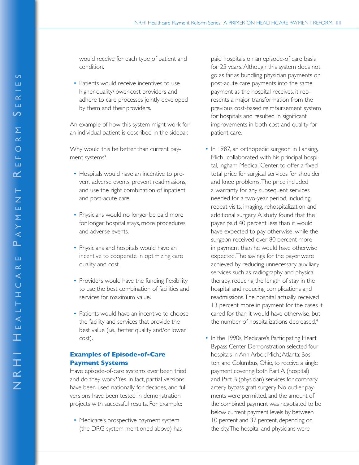would receive for each type of patient and condition.

• Patients would receive incentives to use higher-quality/lower-cost providers and adhere to care processes jointly developed by them and their providers.

An example of how this system might work for an individual patient is described in the sidebar.

Why would this be better than current payment systems?

- Hospitals would have an incentive to prevent adverse events, prevent readmissions, and use the right combination of inpatient and post-acute care.
- Physicians would no longer be paid more for longer hospital stays, more procedures and adverse events.
- Physicians and hospitals would have an incentive to cooperate in optimizing care quality and cost.
- Providers would have the funding flexibility to use the best combination of facilities and services for maximum value.
- Patients would have an incentive to choose the facility and services that provide the best value (i.e., better quality and/or lower cost).

# **Examples of Episode-of-Care Payment Systems**

Have episode-of-care systems ever been tried and do they work? Yes. In fact, partial versions have been used nationally for decades, and full versions have been tested in demonstration projects with successful results. For example:

• Medicare's prospective payment system (the DRG system mentioned above) has paid hospitals on an episode-of care basis for 25 years. Although this system does not go as far as bundling physician payments or post-acute care payments into the same payment as the hospital receives, it represents a major transformation from the previous cost-based reimbursement system for hospitals and resulted in significant improvements in both cost and quality for patient care.

- In 1987, an orthopedic surgeon in Lansing, Mich., collaborated with his principal hospital, Ingham Medical Center, to offer a fixed total price for surgical services for shoulder and knee problems. The price included a warranty for any subsequent services needed for a two-year period, including repeat visits, imaging, rehospitalization and additional surgery. A study found that the payer paid 40 percent less than it would have expected to pay otherwise, while the surgeon received over 80 percent more in payment than he would have otherwise expected. The savings for the payer were achieved by reducing unnecessary auxiliary services such as radiography and physical therapy, reducing the length of stay in the hospital and reducing complications and readmissions. The hospital actually received 13 percent more in payment for the cases it cared for than it would have otherwise, but the number of hospitalizations decreased.<sup>4</sup>
- In the 1990s, Medicare's Participating Heart Bypass Center Demonstration selected four hospitals in Ann Arbor, Mich.; Atlanta; Boston; and Columbus, Ohio, to receive a single payment covering both Part A (hospital) and Part B (physician) services for coronary artery bypass graft surgery. No outlier payments were permitted, and the amount of the combined payment was negotiated to be below current payment levels by between 10 percent and 37 percent, depending on the city. The hospital and physicians were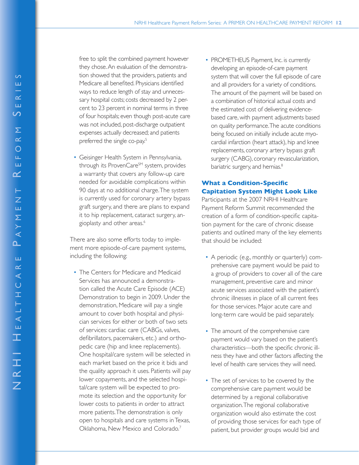free to split the combined payment however they chose. An evaluation of the demonstration showed that the providers, patients and Medicare all benefited. Physicians identified ways to reduce length of stay and unnecessary hospital costs; costs decreased by 2 percent to 23 percent in nominal terms in three of four hospitals; even though post-acute care was not included, post-discharge outpatient expenses actually decreased; and patients preferred the single co-pay.<sup>5</sup>

• Geisinger Health System in Pennsylvania, through its ProvenCare<sup>SM</sup> system, provides a warranty that covers any follow-up care needed for avoidable complications within 90 days at no additional charge. The system is currently used for coronary artery bypass graft surgery, and there are plans to expand it to hip replacement, cataract surgery, angioplasty and other areas.<sup>6</sup>

There are also some efforts today to implement more episode-of-care payment systems, including the following:

• The Centers for Medicare and Medicaid Services has announced a demonstration called the Acute Care Episode (ACE) Demonstration to begin in 2009. Under the demonstration, Medicare will pay a single amount to cover both hospital and physician services for either or both of two sets of services: cardiac care (CABGs, valves, defibrillators, pacemakers, etc.) and orthopedic care (hip and knee replacements). One hospital/care system will be selected in each market based on the price it bids and the quality approach it uses. Patients will pay lower copayments, and the selected hospital/care system will be expected to promote its selection and the opportunity for lower costs to patients in order to attract more patients. The demonstration is only open to hospitals and care systems in Texas, Oklahoma, New Mexico and Colorado.<sup>7</sup>

• PROMETHEUS Payment, Inc. is currently developing an episode-of-care payment system that will cover the full episode of care and all providers for a variety of conditions. The amount of the payment will be based on a combination of historical actual costs and the estimated cost of delivering evidencebased care, with payment adjustments based on quality performance. The acute conditions being focused on initially include acute myocardial infarction (heart attack), hip and knee replacements, coronary artery bypass graft surgery (CABG), coronary revascularization, bariatric surgery, and hernias.<sup>8</sup>

# **What a Condition-Specific Capitation System Might Look Like**

Participants at the 2007 NRHI Healthcare Payment Reform Summit recommended the creation of a form of condition-specific capitation payment for the care of chronic disease patients and outlined many of the key elements that should be included:

- A periodic (e.g., monthly or quarterly) comprehensive care payment would be paid to a group of providers to cover all of the care management, preventive care and minor acute services associated with the patient's chronic illnesses in place of all current fees for those services. Major acute care and long-term care would be paid separately.
- The amount of the comprehensive care payment would vary based on the patient's characteristics—both the specific chronic illness they have and other factors affecting the level of health care services they will need.
- The set of services to be covered by the comprehensive care payment would be determined by a regional collaborative organization. The regional collaborative organization would also estimate the cost of providing those services for each type of patient, but provider groups would bid and

 $\boldsymbol{\varsigma}$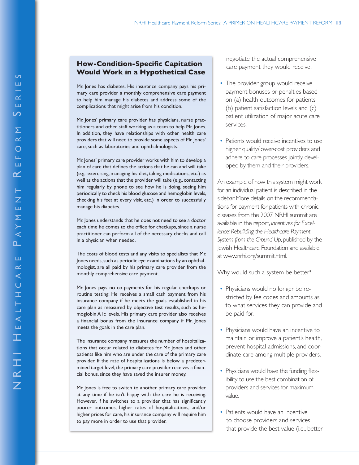# **How-Condition-Specific Capitation Would Work in a Hypothetical Case**

Mr. Jones has diabetes. His insurance company pays his primary care provider a monthly comprehensive care payment to help him manage his diabetes and address some of the complications that might arise from his condition.

Mr. Jones' primary care provider has physicians, nurse practitioners and other staff working as a team to help Mr. Jones. In addition, they have relationships with other health care providers that will need to provide some aspects of Mr. Jones' care, such as laboratories and ophthalmologists.

Mr. Jones' primary care provider works with him to develop a plan of care that defines the actions that he can and will take (e.g., exercising, managing his diet, taking medications, etc.) as well as the actions that the provider will take (e.g., contacting him regularly by phone to see how he is doing, seeing him periodically to check his blood glucose and hemoglobin levels, checking his feet at every visit, etc.) in order to successfully manage his diabetes.

Mr. Jones understands that he does not need to see a doctor each time he comes to the office for checkups, since a nurse practitioner can perform all of the necessary checks and call in a physician when needed.

The costs of blood tests and any visits to specialists that Mr. Jones needs, such as periodic eye examinations by an ophthalmologist, are all paid by his primary care provider from the monthly comprehensive care payment.

Mr. Jones pays no co-payments for his regular checkups or routine testing. He receives a small cash payment from his insurance company if he meets the goals established in his care plan as measured by objective test results, such as hemoglobin A1c levels. His primary care provider also receives a financial bonus from the insurance company if Mr. Jones meets the goals in the care plan.

The insurance company measures the number of hospitalizations that occur related to diabetes for Mr. Jones and other patients like him who are under the care of the primary care provider. If the rate of hospitalizations is below a predetermined target level, the primary care provider receives a financial bonus, since they have saved the insurer money.

Mr. Jones is free to switch to another primary care provider at any time if he isn't happy with the care he is receiving. However, if he switches to a provider that has significantly poorer outcomes, higher rates of hospitalizations, and/or higher prices for care, his insurance company will require him to pay more in order to use that provider.

 negotiate the actual comprehensive care payment they would receive.

- The provider group would receive payment bonuses or penalties based on (a) health outcomes for patients, (b) patient satisfaction levels and (c) patient utilization of major acute care services.
- Patients would receive incentives to use higher quality/lower-cost providers and adhere to care processes jointly developed by them and their providers.

An example of how this system might work for an individual patient is described in the sidebar. More details on the recommendations for payment for patients with chronic diseases from the 2007 NRHI summit are available in the report, *Incentives for Excellence: Rebuilding the Healthcare Payment System from the Ground Up*, published by the Jewish Healthcare Foundation and available at www.nrhi.org/summit.html.

Why would such a system be better?

- Physicians would no longer be restricted by fee codes and amounts as to what services they can provide and be paid for.
- Physicians would have an incentive to maintain or improve a patient's health, prevent hospital admissions, and coordinate care among multiple providers.
- Physicians would have the funding flexibility to use the best combination of providers and services for maximum value.
- Patients would have an incentive to choose providers and services that provide the best value (i.e., better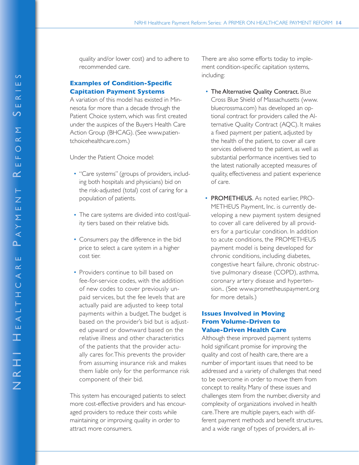quality and/or lower cost) and to adhere to recommended care.

# **Examples of Condition-Specific Capitation Payment Systems**

A variation of this model has existed in Minnesota for more than a decade through the Patient Choice system, which was first created under the auspices of the Buyers Health Care Action Group (BHCAG). (See www.patientchoicehealthcare.com.)

Under the Patient Choice model:

- "Care systems" (groups of providers, including both hospitals and physicians) bid on the risk-adjusted (total) cost of caring for a population of patients.
- The care systems are divided into cost/quality tiers based on their relative bids.
- Consumers pay the difference in the bid price to select a care system in a higher cost tier.
- Providers continue to bill based on fee-for-service codes, with the addition of new codes to cover previously unpaid services, but the fee levels that are actually paid are adjusted to keep total payments within a budget. The budget is based on the provider's bid but is adjusted upward or downward based on the relative illness and other characteristics of the patients that the provider actually cares for. This prevents the provider from assuming insurance risk and makes them liable only for the performance risk component of their bid.

This system has encouraged patients to select more cost-effective providers and has encouraged providers to reduce their costs while maintaining or improving quality in order to attract more consumers.

There are also some efforts today to implement condition-specific capitation systems, including:

- The Alternative Quality Contract. Blue Cross Blue Shield of Massachusetts (www. bluecrossma.com) has developed an optional contract for providers called the Alternative Quality Contract (AQC). It makes a fixed payment per patient, adjusted by the health of the patient, to cover all care services delivered to the patient, as well as substantial performance incentives tied to the latest nationally accepted measures of quality, effectiveness and patient experience of care.
- PROMETHEUS. As noted earlier, PRO-METHEUS Payment, Inc. is currently developing a new payment system designed to cover all care delivered by all providers for a particular condition. In addition to acute conditions, the PROMETHEUS payment model is being developed for chronic conditions, including diabetes, congestive heart failure, chronic obstructive pulmonary disease (COPD), asthma, coronary artery disease and hypertension.. (See www.prometheuspayment.org for more details.)

# **Issues Involved in Moving From Volume-Driven to Value-Driven Health Care**

Although these improved payment systems hold significant promise for improving the quality and cost of health care, there are a number of important issues that need to be addressed and a variety of challenges that need to be overcome in order to move them from concept to reality. Many of these issues and challenges stem from the number, diversity and complexity of organizations involved in health care. There are multiple payers, each with different payment methods and benefit structures, and a wide range of types of providers, all in-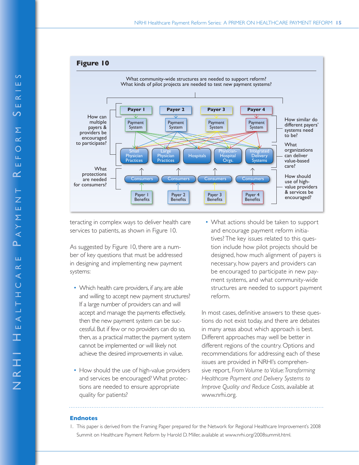![](_page_15_Figure_1.jpeg)

teracting in complex ways to deliver health care services to patients, as shown in Figure 10.

As suggested by Figure 10, there are a number of key questions that must be addressed in designing and implementing new payment systems:

- Which health care providers, if any, are able and willing to accept new payment structures? If a large number of providers can and will accept and manage the payments effectively, then the new payment system can be successful. But if few or no providers can do so, then, as a practical matter, the payment system cannot be implemented or will likely not achieve the desired improvements in value.
- How should the use of high-value providers and services be encouraged? What protections are needed to ensure appropriate quality for patients?

• What actions should be taken to support and encourage payment reform initiatives? The key issues related to this question include how pilot projects should be designed, how much alignment of payers is necessary, how payers and providers can be encouraged to participate in new payment systems, and what community-wide structures are needed to support payment reform.

In most cases, definitive answers to these questions do not exist today, and there are debates in many areas about which approach is best. Different approaches may well be better in different regions of the country. Options and recommendations for addressing each of these issues are provided in NRHI's comprehensive report, *From Volume to Value: Transforming Healthcare Payment and Delivery Systems to Improve Quality and Reduce Costs*, available at www.nrhi.org.

#### **Endnotes**

1. This paper is derived from the Framing Paper prepared for the Network for Regional Healthcare Improvement's 2008 Summit on Healthcare Payment Reform by Harold D. Miller, available at www.nrhi.org/2008summit.html.

e $\boldsymbol{\varsigma}$